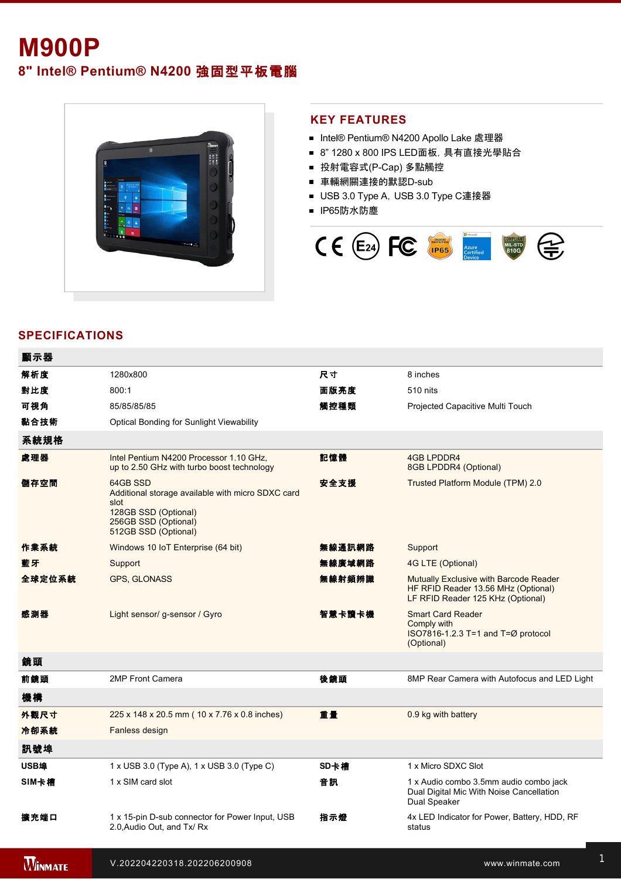# **M900P**

**8" Intel® Pentium® N4200** 強固型平板電腦



#### **KEY FEATURES**

- Intel® Pentium® N4200 Apollo Lake 處理器
- 8" 1280 x 800 IPS LED面板, 具有直接光學貼合
- 投射電容式(P-Cap) 多點觸控
- 車輛網關連接的默認D-sub
- USB 3.0 Type A, USB 3.0 Type C連接器
- IP65防水防塵



## **SPECIFICATIONS**

| 顯示器    |                                                                                                                                               |        |                                                                                                                    |
|--------|-----------------------------------------------------------------------------------------------------------------------------------------------|--------|--------------------------------------------------------------------------------------------------------------------|
| 解析度    | 1280x800                                                                                                                                      | 尺寸     | 8 inches                                                                                                           |
| 對比度    | 800:1                                                                                                                                         | 面版亮度   | 510 nits                                                                                                           |
| 可視角    | 85/85/85/85                                                                                                                                   | 觸控種類   | Projected Capacitive Multi Touch                                                                                   |
| 黏合技術   | <b>Optical Bonding for Sunlight Viewability</b>                                                                                               |        |                                                                                                                    |
| 系統規格   |                                                                                                                                               |        |                                                                                                                    |
| 處理器    | Intel Pentium N4200 Processor 1.10 GHz,<br>up to 2.50 GHz with turbo boost technology                                                         | 記憶體    | <b>4GB LPDDR4</b><br>8GB LPDDR4 (Optional)                                                                         |
| 儲存空間   | 64GB SSD<br>Additional storage available with micro SDXC card<br>slot<br>128GB SSD (Optional)<br>256GB SSD (Optional)<br>512GB SSD (Optional) | 安全支援   | Trusted Platform Module (TPM) 2.0                                                                                  |
| 作業系統   | Windows 10 IoT Enterprise (64 bit)                                                                                                            | 無線通訊網路 | Support                                                                                                            |
| 藍牙     | Support                                                                                                                                       | 無線廣域網路 | 4G LTE (Optional)                                                                                                  |
| 全球定位系統 | <b>GPS, GLONASS</b>                                                                                                                           | 無線射頻辨識 | Mutually Exclusive with Barcode Reader<br>HF RFID Reader 13.56 MHz (Optional)<br>LF RFID Reader 125 KHz (Optional) |
| 感測器    | Light sensor/g-sensor / Gyro                                                                                                                  | 智慧卡讀卡機 | <b>Smart Card Reader</b><br>Comply with<br>ISO7816-1.2.3 T=1 and T=Ø protocol<br>(Optional)                        |
| 鏡頭     |                                                                                                                                               |        |                                                                                                                    |
| 前鏡頭    | 2MP Front Camera                                                                                                                              | 後鏡頭    | 8MP Rear Camera with Autofocus and LED Light                                                                       |
| 機構     |                                                                                                                                               |        |                                                                                                                    |
| 外觀尺寸   | 225 x 148 x 20.5 mm (10 x 7.76 x 0.8 inches)                                                                                                  | 重量     | 0.9 kg with battery                                                                                                |
| 冷卻系統   | Fanless design                                                                                                                                |        |                                                                                                                    |
| 訊號埠    |                                                                                                                                               |        |                                                                                                                    |
| USB埠   | 1 x USB 3.0 (Type A), 1 x USB 3.0 (Type C)                                                                                                    | SD卡槽   | 1 x Micro SDXC Slot                                                                                                |
| SIM卡槽  | 1 x SIM card slot                                                                                                                             | 音訊     | 1 x Audio combo 3.5mm audio combo jack<br>Dual Digital Mic With Noise Cancellation<br>Dual Speaker                 |
| 擴充端口   | 1 x 15-pin D-sub connector for Power Input, USB<br>2.0, Audio Out, and Tx/ Rx                                                                 | 指示燈    | 4x LED Indicator for Power, Battery, HDD, RF<br>status                                                             |
|        |                                                                                                                                               |        |                                                                                                                    |

 $10\leq n\leq 10$  to 90% RH, noncondensing  $\mathcal{L}^2$  and  $\mathcal{L}^2$  to 60°C (AC mode), 10°C to 50°C (Battery), 10°C (Battery), 10°C (Battery), 10°C (Battery), 10°C (Battery), 10°C (Battery), 10°C (Battery), 10°C (Battery),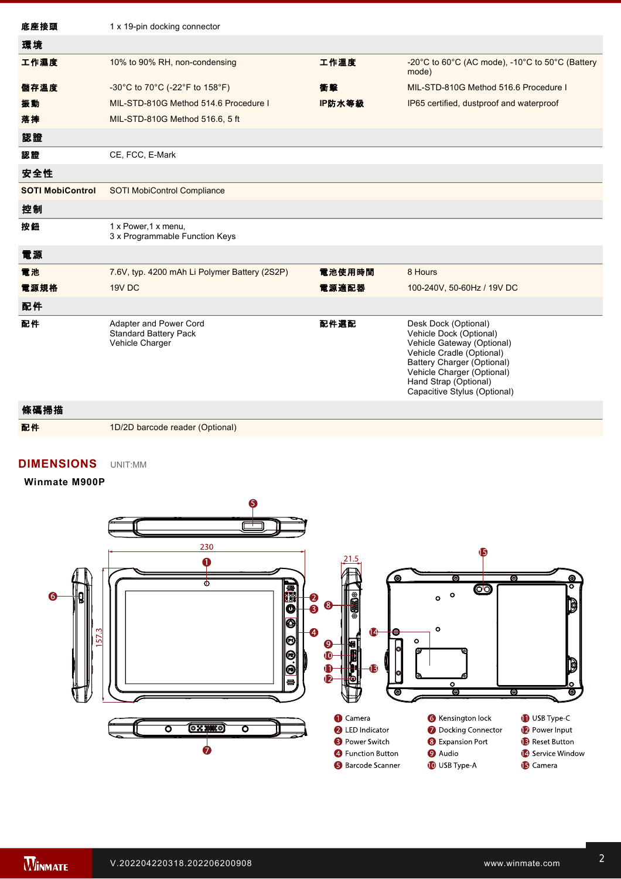| 底座接頭                    | 1 x 19-pin docking connector                                              |        |                                                                                                                                                                                                                                 |
|-------------------------|---------------------------------------------------------------------------|--------|---------------------------------------------------------------------------------------------------------------------------------------------------------------------------------------------------------------------------------|
| 環境                      |                                                                           |        |                                                                                                                                                                                                                                 |
| 工作濕度                    | 10% to 90% RH, non-condensing                                             | 工作溫度   | -20°C to 60°C (AC mode), -10°C to 50°C (Battery<br>mode)                                                                                                                                                                        |
| 儲存溫度                    | -30°C to 70°C (-22°F to 158°F)                                            | 衝擊     | MIL-STD-810G Method 516.6 Procedure I                                                                                                                                                                                           |
| 振動                      | MIL-STD-810G Method 514.6 Procedure I                                     | IP防水等級 | IP65 certified, dustproof and waterproof                                                                                                                                                                                        |
| 落摔                      | MIL-STD-810G Method 516.6, 5 ft                                           |        |                                                                                                                                                                                                                                 |
| 認證                      |                                                                           |        |                                                                                                                                                                                                                                 |
| 認證                      | CE, FCC, E-Mark                                                           |        |                                                                                                                                                                                                                                 |
| 安全性                     |                                                                           |        |                                                                                                                                                                                                                                 |
| <b>SOTI MobiControl</b> | <b>SOTI MobiControl Compliance</b>                                        |        |                                                                                                                                                                                                                                 |
| 控制                      |                                                                           |        |                                                                                                                                                                                                                                 |
| 按鈕                      | 1 x Power, 1 x menu,<br>3 x Programmable Function Keys                    |        |                                                                                                                                                                                                                                 |
| 電源                      |                                                                           |        |                                                                                                                                                                                                                                 |
| 電池                      | 7.6V, typ. 4200 mAh Li Polymer Battery (2S2P)                             | 電池使用時間 | 8 Hours                                                                                                                                                                                                                         |
| 電源規格                    | 19V DC                                                                    | 電源適配器  | 100-240V, 50-60Hz / 19V DC                                                                                                                                                                                                      |
| 配件                      |                                                                           |        |                                                                                                                                                                                                                                 |
| 配件                      | Adapter and Power Cord<br><b>Standard Battery Pack</b><br>Vehicle Charger | 配件選配   | Desk Dock (Optional)<br>Vehicle Dock (Optional)<br>Vehicle Gateway (Optional)<br>Vehicle Cradle (Optional)<br>Battery Charger (Optional)<br>Vehicle Charger (Optional)<br>Hand Strap (Optional)<br>Capacitive Stylus (Optional) |

 $\mathcal{L}_{\mathcal{A}}$  axis  $\mathcal{L}_{\mathcal{A}}$  axis  $\mathcal{L}_{\mathcal{A}}$  axis  $\mathcal{L}_{\mathcal{A}}$  axis  $\mathcal{L}_{\mathcal{A}}$  axis  $\mathcal{L}_{\mathcal{A}}$ 

條碼掃描 配件 1D/2D barcode reader (Optional)

## **DIMENSIONS**  UNIT:MM

 $\mathcal{L}_{\mathcal{A}}$  is 15pin Dsub connector for  $P$ 

#### **Winmate M900P**



3. The USB TypeC connector follows USB 3.0 standard, which does not support Alternate Mode (ALT) or USB Power Delivery (USBPD).

4. Barcode Reader and RFID Scanner are mutually exclusive options.